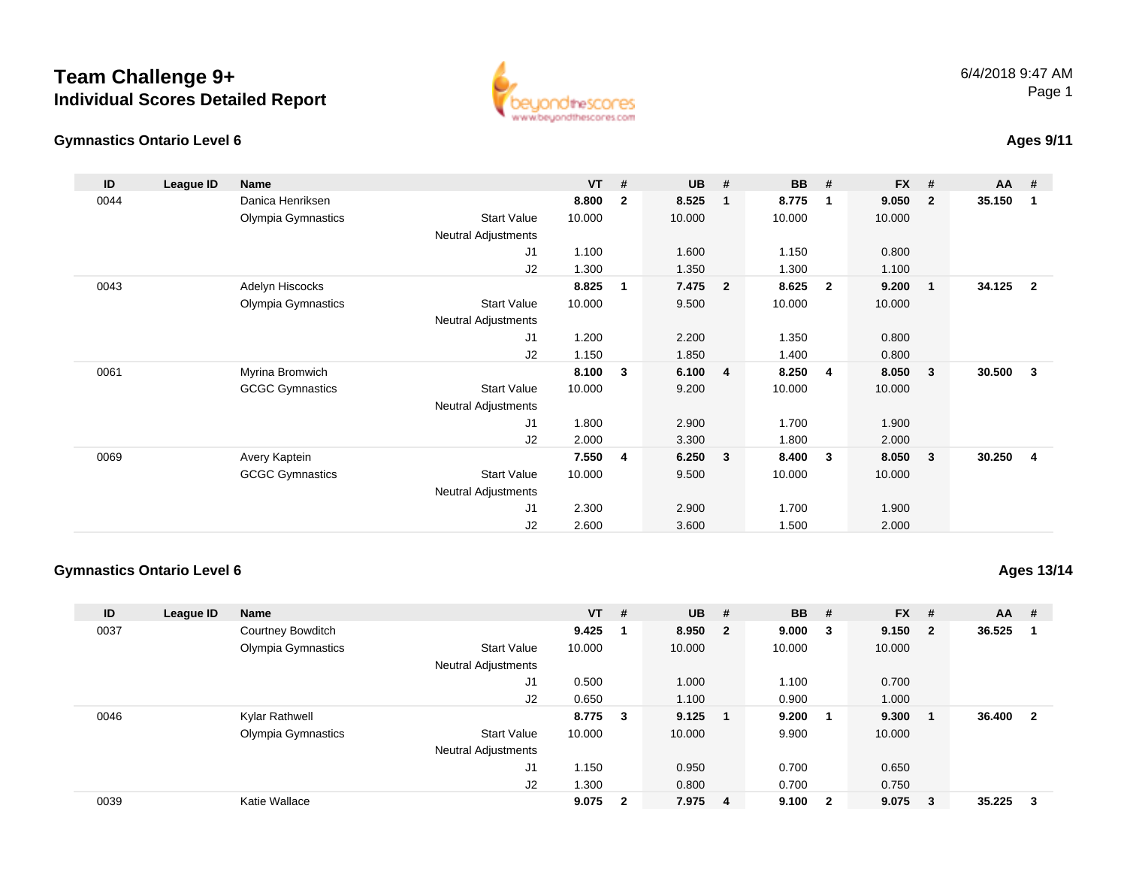# **Team Challenge 9+Individual Scores Detailed Report**

#### **Gymnastics Ontario Level 6**



## **Ages 9/11**

| ID   | League ID | Name                   |                            | $VT$ # |              | <b>UB</b> | #              | <b>BB</b> | #                       | <b>FX</b> | #              | $AA$ # |                |
|------|-----------|------------------------|----------------------------|--------|--------------|-----------|----------------|-----------|-------------------------|-----------|----------------|--------|----------------|
| 0044 |           | Danica Henriksen       |                            | 8.800  | $\mathbf{2}$ | 8.525     | $\mathbf{1}$   | 8.775     | $\overline{\mathbf{1}}$ | 9.050     | $\overline{2}$ | 35.150 | -1             |
|      |           | Olympia Gymnastics     | <b>Start Value</b>         | 10.000 |              | 10.000    |                | 10.000    |                         | 10.000    |                |        |                |
|      |           |                        | Neutral Adjustments        |        |              |           |                |           |                         |           |                |        |                |
|      |           |                        | J1                         | 1.100  |              | 1.600     |                | 1.150     |                         | 0.800     |                |        |                |
|      |           |                        | J2                         | 1.300  |              | 1.350     |                | 1.300     |                         | 1.100     |                |        |                |
| 0043 |           | Adelyn Hiscocks        |                            | 8.825  | 1            | 7.475     | $\overline{2}$ | 8.625     | $\overline{\mathbf{2}}$ | 9.200     | $\overline{1}$ | 34.125 | $\overline{2}$ |
|      |           | Olympia Gymnastics     | <b>Start Value</b>         | 10.000 |              | 9.500     |                | 10.000    |                         | 10.000    |                |        |                |
|      |           |                        | Neutral Adjustments        |        |              |           |                |           |                         |           |                |        |                |
|      |           |                        | J1                         | 1.200  |              | 2.200     |                | 1.350     |                         | 0.800     |                |        |                |
|      |           |                        | J2                         | 1.150  |              | 1.850     |                | 1.400     |                         | 0.800     |                |        |                |
| 0061 |           | Myrina Bromwich        |                            | 8.100  | 3            | 6.100     | $\overline{4}$ | 8.250     | $\overline{4}$          | 8.050     | -3             | 30.500 | 3              |
|      |           | <b>GCGC Gymnastics</b> | <b>Start Value</b>         | 10.000 |              | 9.200     |                | 10.000    |                         | 10.000    |                |        |                |
|      |           |                        | <b>Neutral Adjustments</b> |        |              |           |                |           |                         |           |                |        |                |
|      |           |                        | J1                         | 1.800  |              | 2.900     |                | 1.700     |                         | 1.900     |                |        |                |
|      |           |                        | J2                         | 2.000  |              | 3.300     |                | 1.800     |                         | 2.000     |                |        |                |
| 0069 |           | Avery Kaptein          |                            | 7.550  | 4            | 6.250     | 3              | 8.400     | $\mathbf{3}$            | 8.050     | $\mathbf{3}$   | 30.250 | 4              |
|      |           | <b>GCGC Gymnastics</b> | <b>Start Value</b>         | 10.000 |              | 9.500     |                | 10.000    |                         | 10.000    |                |        |                |
|      |           |                        | Neutral Adjustments        |        |              |           |                |           |                         |           |                |        |                |
|      |           |                        | J1                         | 2.300  |              | 2.900     |                | 1.700     |                         | 1.900     |                |        |                |
|      |           |                        | J <sub>2</sub>             | 2.600  |              | 3.600     |                | 1.500     |                         | 2.000     |                |        |                |

### **Gymnastics Ontario Level 6**

**Ages 13/14**

| ID   | League ID | <b>Name</b>        |                            | <b>VT</b> | #              | <b>UB</b> | # | <b>BB</b> | #              | $FX$ # |                         | $AA$ # |                         |
|------|-----------|--------------------|----------------------------|-----------|----------------|-----------|---|-----------|----------------|--------|-------------------------|--------|-------------------------|
| 0037 |           | Courtney Bowditch  |                            | 9.425     |                | 8.950 2   |   | 9.000     | 3              | 9.150  | $\overline{\mathbf{2}}$ | 36.525 | - 1                     |
|      |           | Olympia Gymnastics | <b>Start Value</b>         | 10.000    |                | 10.000    |   | 10.000    |                | 10.000 |                         |        |                         |
|      |           |                    | <b>Neutral Adjustments</b> |           |                |           |   |           |                |        |                         |        |                         |
|      |           |                    | J1                         | 0.500     |                | 1.000     |   | 1.100     |                | 0.700  |                         |        |                         |
|      |           |                    | J2                         | 0.650     |                | 1.100     |   | 0.900     |                | 1.000  |                         |        |                         |
| 0046 |           | Kylar Rathwell     |                            | 8.775 3   |                | 9.125     |   | 9.200     |                | 9.300  | - 1                     | 36.400 | $\overline{\mathbf{2}}$ |
|      |           | Olympia Gymnastics | <b>Start Value</b>         | 10.000    |                | 10.000    |   | 9.900     |                | 10.000 |                         |        |                         |
|      |           |                    | <b>Neutral Adjustments</b> |           |                |           |   |           |                |        |                         |        |                         |
|      |           |                    | J1                         | 1.150     |                | 0.950     |   | 0.700     |                | 0.650  |                         |        |                         |
|      |           |                    | J2                         | 1.300     |                | 0.800     |   | 0.700     |                | 0.750  |                         |        |                         |
| 0039 |           | Katie Wallace      |                            | 9.075     | $\overline{2}$ | 7.975 4   |   | 9.100     | $\overline{2}$ | 9.075  | $\mathbf{3}$            | 35.225 | $\mathbf{3}$            |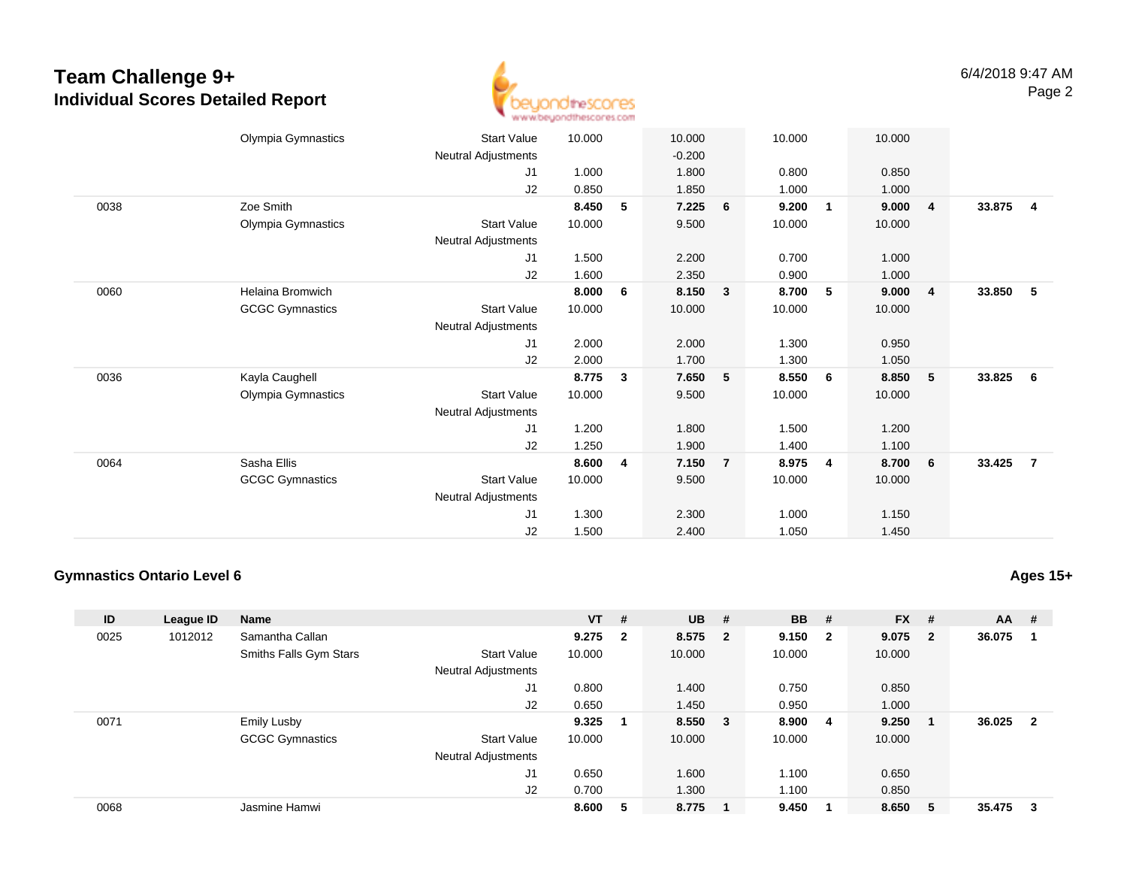## **Team Challenge 9+Individual Scores Detailed Report**



|      | Olympia Gymnastics<br><b>Start Value</b>     | 10.000 | 10.000     |                | 10.000 |                | 10.000 |                |        |                         |
|------|----------------------------------------------|--------|------------|----------------|--------|----------------|--------|----------------|--------|-------------------------|
|      | Neutral Adjustments                          |        | $-0.200$   |                |        |                |        |                |        |                         |
|      | J1                                           | 1.000  | 1.800      |                | 0.800  |                | 0.850  |                |        |                         |
|      | J2                                           | 0.850  | 1.850      |                | 1.000  |                | 1.000  |                |        |                         |
| 0038 | Zoe Smith                                    | 8.450  | 7.225<br>5 | 6              | 9.200  | 1              | 9.000  | $\overline{4}$ | 33.875 | $\overline{\mathbf{4}}$ |
|      | Olympia Gymnastics<br><b>Start Value</b>     | 10.000 | 9.500      |                | 10.000 |                | 10.000 |                |        |                         |
|      | Neutral Adjustments                          |        |            |                |        |                |        |                |        |                         |
|      | J1                                           | 1.500  | 2.200      |                | 0.700  |                | 1.000  |                |        |                         |
|      | J <sub>2</sub>                               | 1.600  | 2.350      |                | 0.900  |                | 1.000  |                |        |                         |
| 0060 | <b>Helaina Bromwich</b>                      | 8.000  | 6<br>8.150 | 3              | 8.700  | 5              | 9.000  | $\overline{4}$ | 33.850 | 5                       |
|      | <b>GCGC Gymnastics</b><br><b>Start Value</b> | 10.000 | 10.000     |                | 10.000 |                | 10.000 |                |        |                         |
|      | Neutral Adjustments                          |        |            |                |        |                |        |                |        |                         |
|      | J1                                           | 2.000  | 2.000      |                | 1.300  |                | 0.950  |                |        |                         |
|      | J <sub>2</sub>                               | 2.000  | 1.700      |                | 1.300  |                | 1.050  |                |        |                         |
| 0036 | Kayla Caughell                               | 8.775  | 7.650<br>3 | 5              | 8.550  | 6              | 8.850  | $-5$           | 33.825 | 6                       |
|      | Olympia Gymnastics<br><b>Start Value</b>     | 10.000 | 9.500      |                | 10.000 |                | 10.000 |                |        |                         |
|      | Neutral Adjustments                          |        |            |                |        |                |        |                |        |                         |
|      | J1                                           | 1.200  | 1.800      |                | 1.500  |                | 1.200  |                |        |                         |
|      | J2                                           | 1.250  | 1.900      |                | 1.400  |                | 1.100  |                |        |                         |
| 0064 | Sasha Ellis                                  | 8.600  | 7.150<br>4 | $\overline{7}$ | 8.975  | $\overline{4}$ | 8.700  | 6              | 33.425 | $\overline{7}$          |
|      | <b>GCGC Gymnastics</b><br><b>Start Value</b> | 10.000 | 9.500      |                | 10.000 |                | 10.000 |                |        |                         |
|      | Neutral Adjustments                          |        |            |                |        |                |        |                |        |                         |
|      | J1                                           | 1.300  | 2.300      |                | 1.000  |                | 1.150  |                |        |                         |
|      | J2                                           | 1.500  | 2.400      |                | 1.050  |                | 1.450  |                |        |                         |
|      |                                              |        |            |                |        |                |        |                |        |                         |

#### **Gymnastics Ontario Level 6**

**ID League ID Name VT # UB # BB # FX # AA #** 0025 <sup>1012012</sup> Samantha Callan **9.275 <sup>2</sup> 8.575 <sup>2</sup> 9.150 <sup>2</sup> 9.075 <sup>2</sup> 36.075 <sup>1</sup>** Smiths Falls Gym Stars Start Valuee 10.000 10.000 10.000 10.000 Neutral Adjustments J1 0.800 1.400 0.750 0.850 J2 0.650 1.450 0.950 1.000 0071 Emily Lusby **9.325 <sup>1</sup> 8.550 <sup>3</sup> 8.900 <sup>4</sup> 9.250 <sup>1</sup> 36.025 <sup>2</sup>** GCGC Gymnastics Start Valuee 10.000 10.000 10.000 10.000 Neutral Adjustments J1 0.650 1.600 1.100 0.650 J2 0.700 1.300 1.100 0.850 0068Jasmine Hamwi **8.600 <sup>5</sup> 8.775 <sup>1</sup> 9.450 <sup>1</sup> 8.650 <sup>5</sup> 35.475 <sup>3</sup>**

## **Ages 15+**